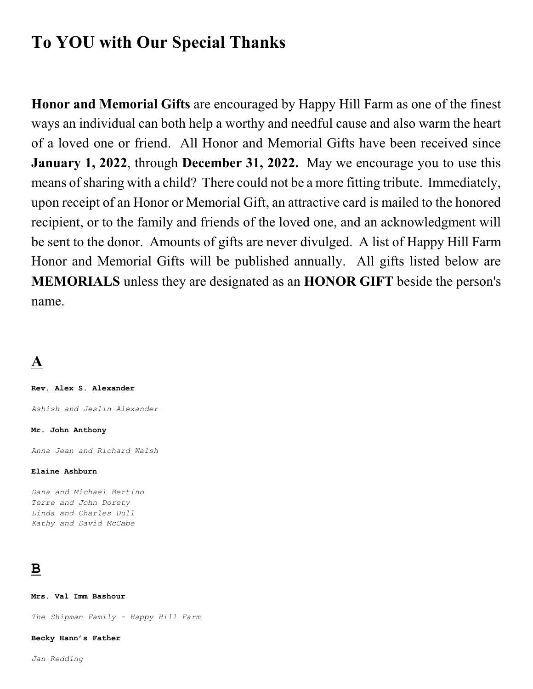# **To YOU with Our Special Thanks**

**Honor and Memorial Gifts** are encouraged by Happy Hill Farm as one of the finest ways an individual can both help a worthy and needful cause and also warm the heart of a loved one or friend. All Honor and Memorial Gifts have been received since **January 1, 2022**, through **December 31, 2022.** May we encourage you to use this means of sharing with a child? There could not be a more fitting tribute. Immediately, upon receipt of an Honor or Memorial Gift, an attractive card is mailed to the honored recipient, or to the family and friends of the loved one, and an acknowledgment will be sent to the donor. Amounts of gifts are never divulged. A list of Happy Hill Farm Honor and Memorial Gifts will be published annually. All gifts listed below are **MEMORIALS** unless they are designated as an **HONOR GIFT** beside the person's name.

# **A**

**Rev. Alex S. Alexander**

*Ashish and Jeslin Alexander*

**Mr. John Anthony**

*Anna Jean and Richard Walsh*

#### **Elaine Ashburn**

*Dana and Michael Bertino Terre and John Dorety Linda and Charles Dull Kathy and David McCabe*

# **B**

**Mrs. Val Imm Bashour**

*The Shipman Family - Happy Hill Farm*

**Becky Hann's Father**

*Jan Redding*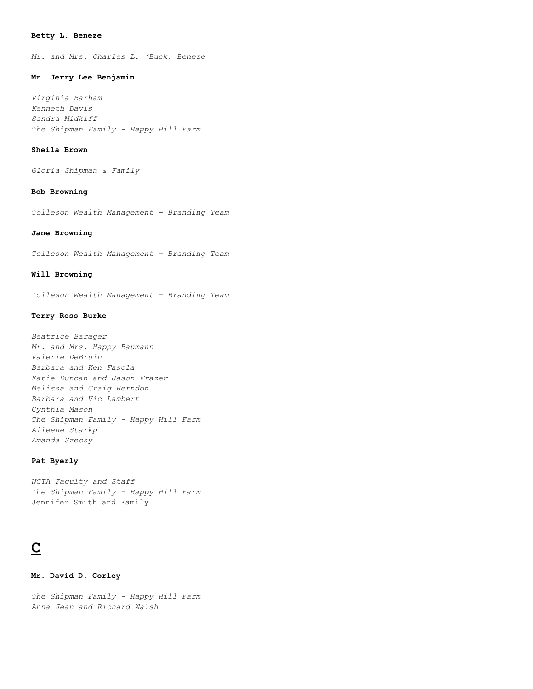#### **Betty L. Beneze**

*Mr. and Mrs. Charles L. (Buck) Beneze*

#### **Mr. Jerry Lee Benjamin**

*Virginia Barham Kenneth Davis Sandra Midkiff The Shipman Family - Happy Hill Farm*

#### **Sheila Brown**

*Gloria Shipman & Family*

#### **Bob Browning**

*Tolleson Wealth Management - Branding Team*

#### **Jane Browning**

*Tolleson Wealth Management - Branding Team*

#### **Will Browning**

*Tolleson Wealth Management - Branding Team*

#### **Terry Ross Burke**

*Beatrice Barager Mr. and Mrs. Happy Baumann Valerie DeBruin Barbara and Ken Fasola Katie Duncan and Jason Frazer Melissa and Craig Herndon Barbara and Vic Lambert Cynthia Mason The Shipman Family - Happy Hill Farm Aileene Starkp Amanda Szecsy*

#### **Pat Byerly**

*NCTA Faculty and Staff The Shipman Family - Happy Hill Farm* Jennifer Smith and Family

# **C**

#### **Mr. David D. Corley**

*The Shipman Family - Happy Hill Farm Anna Jean and Richard Walsh*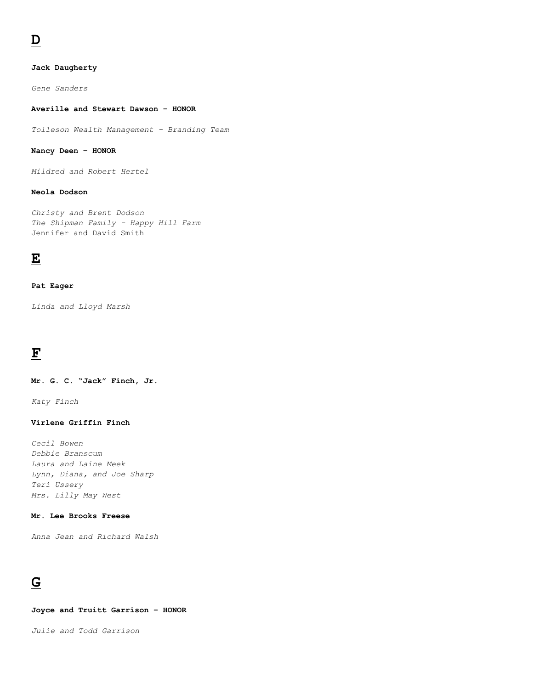### **Jack Daugherty**

*Gene Sanders*

#### **Averille and Stewart Dawson – HONOR**

*Tolleson Wealth Management - Branding Team*

## **Nancy Deen – HONOR**

*Mildred and Robert Hertel*

## **Neola Dodson**

*Christy and Brent Dodson The Shipman Family - Happy Hill Farm* Jennifer and David Smith

## **E**

#### **Pat Eager**

*Linda and Lloyd Marsh*

# **F**

**Mr. G. C. "Jack" Finch, Jr.**

*Katy Finch*

### **Virlene Griffin Finch**

*Cecil Bowen Debbie Branscum Laura and Laine Meek Lynn, Diana, and Joe Sharp Teri Ussery Mrs. Lilly May West*

## **Mr. Lee Brooks Freese**

*Anna Jean and Richard Walsh*

# **G**

**Joyce and Truitt Garrison – HONOR**

*Julie and Todd Garrison*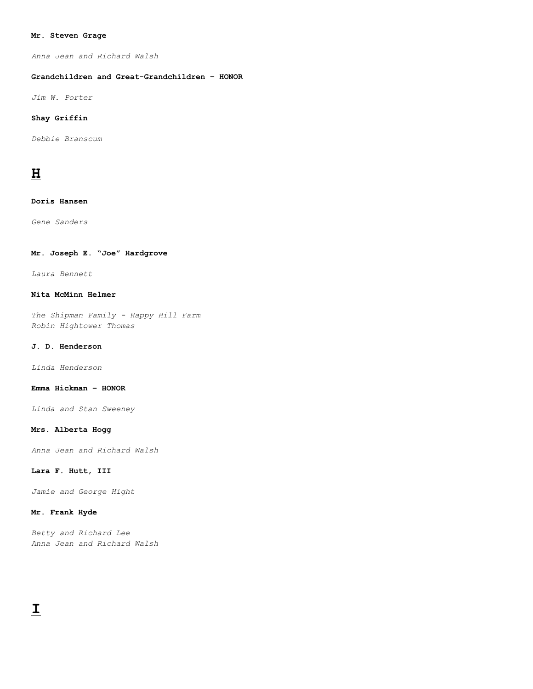#### **Mr. Steven Grage**

*Anna Jean and Richard Walsh*

#### **Grandchildren and Great-Grandchildren – HONOR**

*Jim W. Porter*

#### **Shay Griffin**

*Debbie Branscum*

## **H**

#### **Doris Hansen**

*Gene Sanders*

## **Mr. Joseph E. "Joe" Hardgrove**

*Laura Bennett*

#### **Nita McMinn Helmer**

*The Shipman Family - Happy Hill Farm Robin Hightower Thomas*

#### **J. D. Henderson**

*Linda Henderson*

#### **Emma Hickman – HONOR**

*Linda and Stan Sweeney*

#### **Mrs. Alberta Hogg**

*Anna Jean and Richard Walsh*

#### **Lara F. Hutt, III**

*Jamie and George Hight*

#### **Mr. Frank Hyde**

*Betty and Richard Lee Anna Jean and Richard Walsh*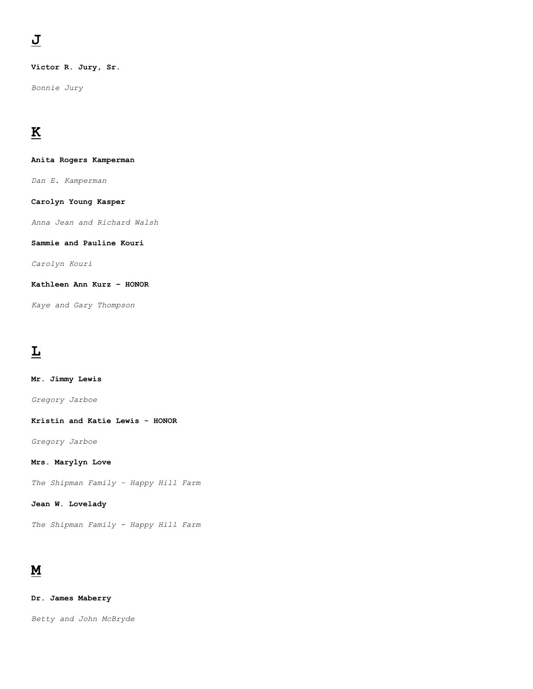**Victor R. Jury, Sr.**

*Bonnie Jury*

# **K**

**Anita Rogers Kamperman**

*Dan E. Kamperman*

**Carolyn Young Kasper**

*Anna Jean and Richard Walsh*

**Sammie and Pauline Kouri**

*Carolyn Kouri*

**Kathleen Ann Kurz – HONOR**

*Kaye and Gary Thompson*

# **L**

**Mr. Jimmy Lewis** *Gregory Jarboe*

**Kristin and Katie Lewis - HONOR**

*Gregory Jarboe*

**Mrs. Marylyn Love**

*The Shipman Family – Happy Hill Farm*

**Jean W. Lovelady**

*The Shipman Family - Happy Hill Farm*

# **M**

**Dr. James Maberry**

*Betty and John McBryde*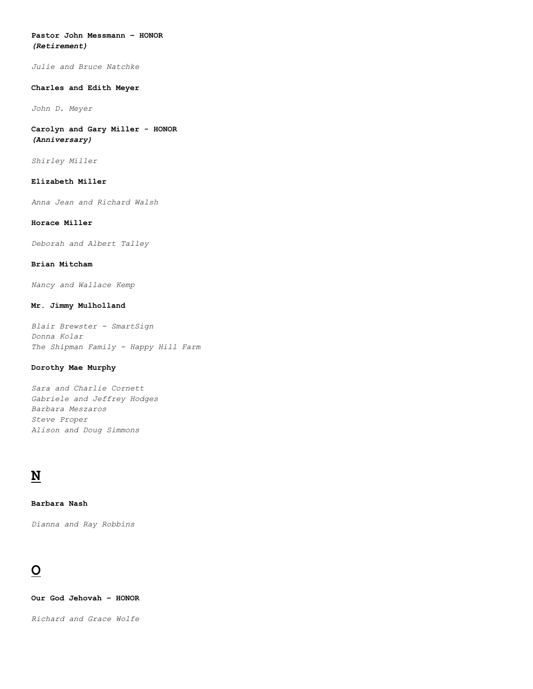#### **Pastor John Messmann – HONOR** *(Retirement)*

*Julie and Bruce Natchke*

#### **Charles and Edith Meyer**

*John D. Meyer*

**Carolyn and Gary Miller - HONOR** *(Anniversary)*

*Shirley Miller*

#### **Elizabeth Miller**

*Anna Jean and Richard Walsh*

#### **Horace Miller**

*Deborah and Albert Talley*

#### **Brian Mitcham**

*Nancy and Wallace Kemp*

#### **Mr. Jimmy Mulholland**

*Blair Brewster - SmartSign Donna Kolar The Shipman Family - Happy Hill Farm*

#### **Dorothy Mae Murphy**

*Sara and Charlie Cornett Gabriele and Jeffrey Hodges Barbara Meszaros Steve Proper Alison and Doug Simmons*

# **N**

**Barbara Nash**

*Dianna and Ray Robbins*

# **O**

**Our God Jehovah – HONOR**

*Richard and Grace Wolfe*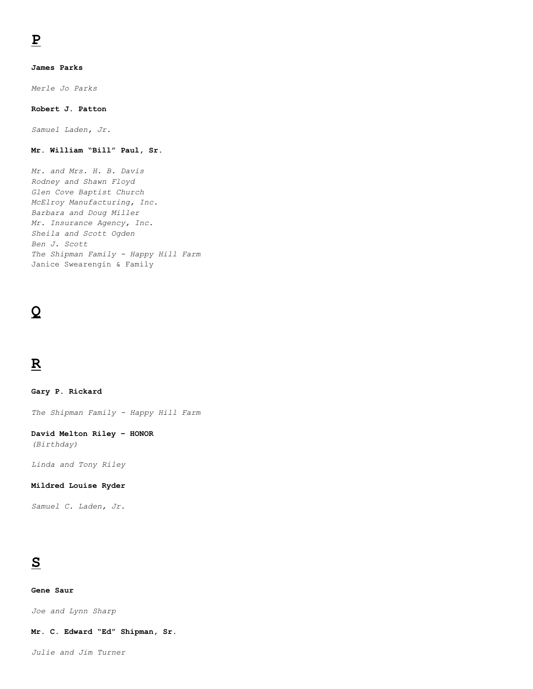## **James Parks**

*Merle Jo Parks*

## **Robert J. Patton**

*Samuel Laden, Jr.*

## **Mr. William "Bill" Paul, Sr.**

*Mr. and Mrs. H. B. Davis Rodney and Shawn Floyd Glen Cove Baptist Church McElroy Manufacturing, Inc. Barbara and Doug Miller Mr. Insurance Agency, Inc. Sheila and Scott Ogden Ben J. Scott The Shipman Family - Happy Hill Farm* Janice Swearengin & Family

# **Q**

# **R**

**Gary P. Rickard**

*The Shipman Family - Happy Hill Farm*

## **David Melton Riley – HONOR**

*(Birthday)*

*Linda and Tony Riley*

#### **Mildred Louise Ryder**

*Samuel C. Laden, Jr.*

# **S**

#### **Gene Saur**

*Joe and Lynn Sharp*

#### **Mr. C. Edward "Ed" Shipman, Sr.**

*Julie and Jim Turner*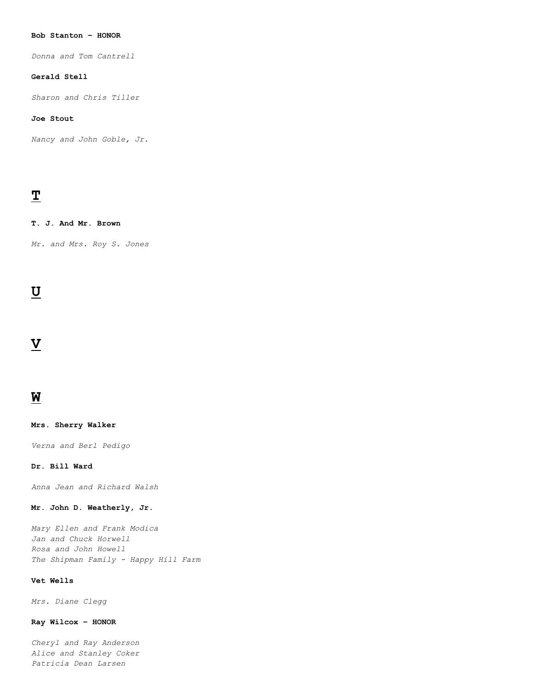#### **Bob Stanton – HONOR**

*Donna and Tom Cantrell*

## **Gerald Stell**

*Sharon and Chris Tiller*

### **Joe Stout**

*Nancy and John Goble, Jr.*

# **T**

#### **T. J. And Mr. Brown**

*Mr. and Mrs. Roy S. Jones*

## **U**

## **V**

## **W**

#### **Mrs. Sherry Walker**

*Verna and Berl Pedigo*

#### **Dr. Bill Ward**

*Anna Jean and Richard Walsh*

#### **Mr. John D. Weatherly, Jr.**

*Mary Ellen and Frank Modica Jan and Chuck Horwell Rosa and John Howell The Shipman Family - Happy Hill Farm*

#### **Vet Wells**

*Mrs. Diane Clegg*

#### **Ray Wilcox – HONOR**

*Cheryl and Ray Anderson Alice and Stanley Coker Patricia Dean Larsen*